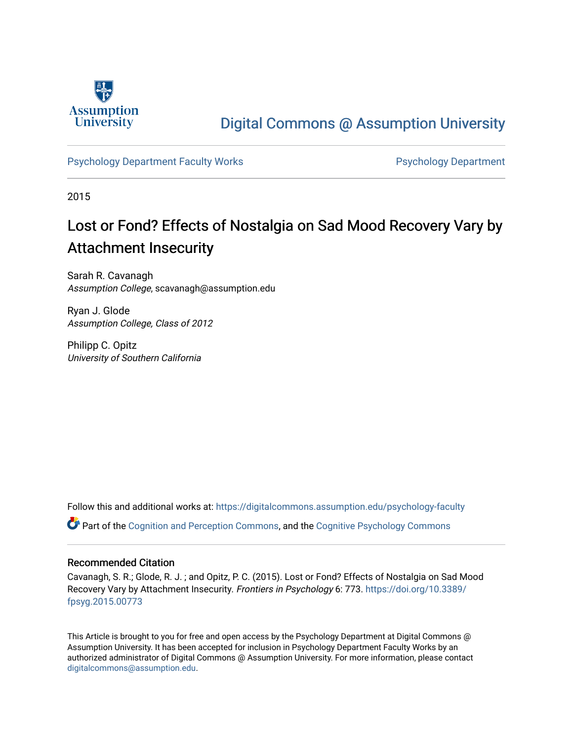

## [Digital Commons @ Assumption University](https://digitalcommons.assumption.edu/)

## [Psychology Department Faculty Works](https://digitalcommons.assumption.edu/psychology-faculty) **Properties Access Psychology Department**

2015

# Lost or Fond? Effects of Nostalgia on Sad Mood Recovery Vary by Attachment Insecurity

Sarah R. Cavanagh Assumption College, scavanagh@assumption.edu

Ryan J. Glode Assumption College, Class of 2012

Philipp C. Opitz University of Southern California

Follow this and additional works at: [https://digitalcommons.assumption.edu/psychology-faculty](https://digitalcommons.assumption.edu/psychology-faculty?utm_source=digitalcommons.assumption.edu%2Fpsychology-faculty%2F6&utm_medium=PDF&utm_campaign=PDFCoverPages) 

Part of the [Cognition and Perception Commons,](http://network.bepress.com/hgg/discipline/407?utm_source=digitalcommons.assumption.edu%2Fpsychology-faculty%2F6&utm_medium=PDF&utm_campaign=PDFCoverPages) and the [Cognitive Psychology Commons](http://network.bepress.com/hgg/discipline/408?utm_source=digitalcommons.assumption.edu%2Fpsychology-faculty%2F6&utm_medium=PDF&utm_campaign=PDFCoverPages) 

## Recommended Citation

Cavanagh, S. R.; Glode, R. J. ; and Opitz, P. C. (2015). Lost or Fond? Effects of Nostalgia on Sad Mood Recovery Vary by Attachment Insecurity. Frontiers in Psychology 6: 773. [https://doi.org/10.3389/](https://doi.org/10.3389/fpsyg.2015.00773) [fpsyg.2015.00773](https://doi.org/10.3389/fpsyg.2015.00773)

This Article is brought to you for free and open access by the Psychology Department at Digital Commons @ Assumption University. It has been accepted for inclusion in Psychology Department Faculty Works by an authorized administrator of Digital Commons @ Assumption University. For more information, please contact [digitalcommons@assumption.edu](mailto:digitalcommons@assumption.edu).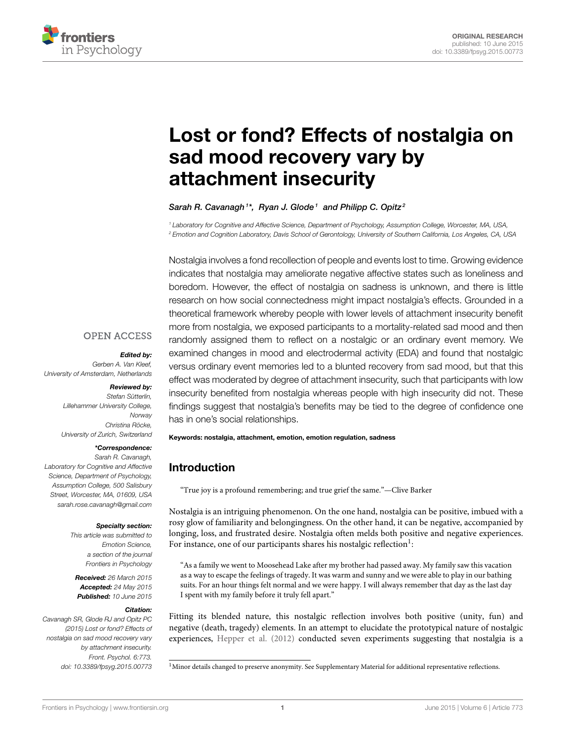

# [Lost or fond? Effects of nostalgia on](http://journal.frontiersin.org/article/10.3389/fpsyg.2015.00773/abstract) sad mood recovery vary by attachment insecurity

## [Sarah R. Cavanagh](http://community.frontiersin.org/people/u/68021)<sup>1\*</sup>, [Ryan J. Glode](http://community.frontiersin.org/people/u/232570)<sup>1</sup> and [Philipp C. Opitz](http://community.frontiersin.org/people/u/127572)<sup>2</sup>

<sup>1</sup> Laboratory for Cognitive and Affective Science, Department of Psychology, Assumption College, Worcester, MA, USA, <sup>2</sup> Emotion and Cognition Laboratory, Davis School of Gerontology, University of Southern California, Los Angeles, CA, USA

Nostalgia involves a fond recollection of people and events lost to time. Growing evidence indicates that nostalgia may ameliorate negative affective states such as loneliness and boredom. However, the effect of nostalgia on sadness is unknown, and there is little research on how social connectedness might impact nostalgia's effects. Grounded in a theoretical framework whereby people with lower levels of attachment insecurity benefit more from nostalgia, we exposed participants to a mortality-related sad mood and then randomly assigned them to reflect on a nostalgic or an ordinary event memory. We examined changes in mood and electrodermal activity (EDA) and found that nostalgic versus ordinary event memories led to a blunted recovery from sad mood, but that this effect was moderated by degree of attachment insecurity, such that participants with low insecurity benefited from nostalgia whereas people with high insecurity did not. These findings suggest that nostalgia's benefits may be tied to the degree of confidence one has in one's social relationships.

#### Keywords: nostalgia, attachment, emotion, emotion regulation, sadness

## Introduction

"True joy is a profound remembering; and true grief the same."—Clive Barker

Nostalgia is an intriguing phenomenon. On the one hand, nostalgia can be positive, imbued with a rosy glow of familiarity and belongingness. On the other hand, it can be negative, accompanied by longing, loss, and frustrated desire. Nostalgia often melds both positive and negative experiences. For instance, one of our participants shares his nostalgic reflection<sup>1</sup>:

"As a family we went to Moosehead Lake after my brother had passed away. My family saw this vacation as a way to escape the feelings of tragedy. It was warm and sunny and we were able to play in our bathing suits. For an hour things felt normal and we were happy. I will always remember that day as the last day I spent with my family before it truly fell apart."

Fitting its blended nature, this nostalgic reflection involves both positive (unity, fun) and negative (death, tragedy) elements. In an attempt to elucidate the prototypical nature of nostalgic experiences, [Hepper et al. \(2012\)](#page-8-0) conducted seven experiments suggesting that nostalgia is a

**OPEN ACCESS** 

#### Edited by:

Gerben A. Van Kleef, University of Amsterdam, Netherlands

#### Reviewed by:

Stefan Sütterlin, Lillehammer University College, **Norway** Christina Röcke, University of Zurich, Switzerland

#### \*Correspondence:

Sarah R. Cavanagh, Laboratory for Cognitive and Affective Science, Department of Psychology, Assumption College, 500 Salisbury Street, Worcester, MA, 01609, USA [sarah.rose.cavanagh@gmail.com](mailto:sarah.rose.cavanagh@gmail.com)

#### Specialty section:

This article was submitted to Emotion Science, a section of the journal Frontiers in Psychology

Received: 26 March 2015 Accepted: 24 May 2015 Published: 10 June 2015

#### Citation:

Cavanagh SR, Glode RJ and Opitz PC (2015) Lost or fond? Effects of nostalgia on sad mood recovery vary by attachment insecurity. Front. Psychol. 6:773. doi: [10.3389/fpsyg.2015.00773](http://dx.doi.org/10.3389/fpsyg.2015.00773)

<sup>&</sup>lt;sup>1</sup>Minor details changed to preserve anonymity. See Supplementary Material for additional representative reflections.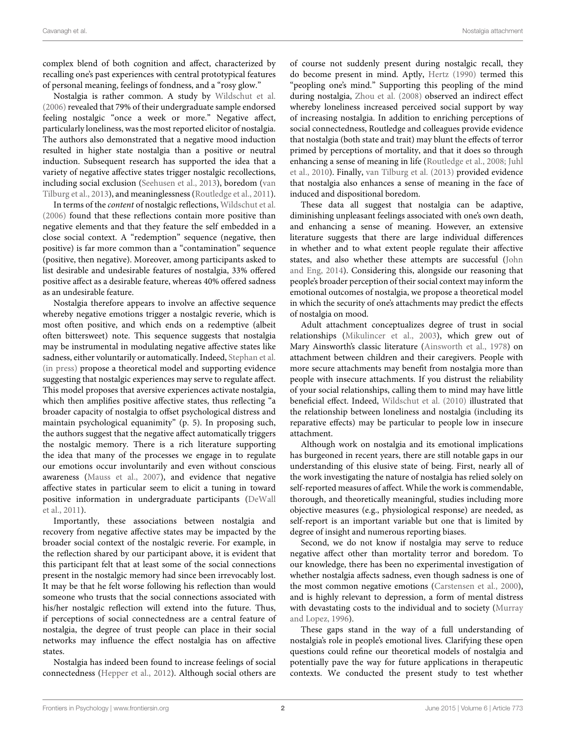complex blend of both cognition and affect, characterized by recalling one's past experiences with central prototypical features of personal meaning, feelings of fondness, and a "rosy glow."

Nostalgia is rather common. A study by [Wildschut et al.](#page-9-0) [\(2006\)](#page-9-0) revealed that 79% of their undergraduate sample endorsed feeling nostalgic "once a week or more." Negative affect, particularly loneliness, was the most reported elicitor of nostalgia. The authors also demonstrated that a negative mood induction resulted in higher state nostalgia than a positive or neutral induction. Subsequent research has supported the idea that a variety of negative affective states trigger nostalgic recollections, including social exclusion [\(Seehusen et al., 2013\)](#page-9-1), boredom (van Tilburg et al., [2013\)](#page-9-2), and meaninglessness [\(Routledge et al., 2011\)](#page-8-1).

In terms of the content of nostalgic reflections, [Wildschut et al.](#page-9-0) [\(2006\)](#page-9-0) found that these reflections contain more positive than negative elements and that they feature the self embedded in a close social context. A "redemption" sequence (negative, then positive) is far more common than a "contamination" sequence (positive, then negative). Moreover, among participants asked to list desirable and undesirable features of nostalgia, 33% offered positive affect as a desirable feature, whereas 40% offered sadness as an undesirable feature.

Nostalgia therefore appears to involve an affective sequence whereby negative emotions trigger a nostalgic reverie, which is most often positive, and which ends on a redemptive (albeit often bittersweet) note. This sequence suggests that nostalgia may be instrumental in modulating negative affective states like sadness, either voluntarily or automatically. Indeed, [Stephan et al.](#page-9-3) [\(in press\)](#page-9-3) propose a theoretical model and supporting evidence suggesting that nostalgic experiences may serve to regulate affect. This model proposes that aversive experiences activate nostalgia, which then amplifies positive affective states, thus reflecting "a broader capacity of nostalgia to offset psychological distress and maintain psychological equanimity" (p. 5). In proposing such, the authors suggest that the negative affect automatically triggers the nostalgic memory. There is a rich literature supporting the idea that many of the processes we engage in to regulate our emotions occur involuntarily and even without conscious awareness [\(Mauss et al., 2007\)](#page-8-2), and evidence that negative affective states in particular seem to elicit a tuning in toward positive information in undergraduate participants (DeWall et al., [2011\)](#page-8-3).

Importantly, these associations between nostalgia and recovery from negative affective states may be impacted by the broader social context of the nostalgic reverie. For example, in the reflection shared by our participant above, it is evident that this participant felt that at least some of the social connections present in the nostalgic memory had since been irrevocably lost. It may be that he felt worse following his reflection than would someone who trusts that the social connections associated with his/her nostalgic reflection will extend into the future. Thus, if perceptions of social connectedness are a central feature of nostalgia, the degree of trust people can place in their social networks may influence the effect nostalgia has on affective states.

Nostalgia has indeed been found to increase feelings of social connectedness [\(Hepper et al., 2012\)](#page-8-0). Although social others are of course not suddenly present during nostalgic recall, they do become present in mind. Aptly, [Hertz \(1990\)](#page-8-4) termed this "peopling one's mind." Supporting this peopling of the mind during nostalgia, [Zhou et al. \(2008\)](#page-9-4) observed an indirect effect whereby loneliness increased perceived social support by way of increasing nostalgia. In addition to enriching perceptions of social connectedness, Routledge and colleagues provide evidence that nostalgia (both state and trait) may blunt the effects of terror primed by perceptions of mortality, and that it does so through enhancing a sense of meaning in life [\(Routledge et al., 2008;](#page-8-5) Juhl et al., [2010\)](#page-8-6). Finally, [van Tilburg et al. \(2013\)](#page-9-2) provided evidence that nostalgia also enhances a sense of meaning in the face of induced and dispositional boredom.

These data all suggest that nostalgia can be adaptive, diminishing unpleasant feelings associated with one's own death, and enhancing a sense of meaning. However, an extensive literature suggests that there are large individual differences in whether and to what extent people regulate their affective states, and also whether these attempts are successful (John and Eng, [2014\)](#page-8-7). Considering this, alongside our reasoning that people's broader perception of their social context may inform the emotional outcomes of nostalgia, we propose a theoretical model in which the security of one's attachments may predict the effects of nostalgia on mood.

Adult attachment conceptualizes degree of trust in social relationships [\(Mikulincer et al., 2003\)](#page-8-8), which grew out of Mary Ainsworth's classic literature [\(Ainsworth et al., 1978\)](#page-8-9) on attachment between children and their caregivers. People with more secure attachments may benefit from nostalgia more than people with insecure attachments. If you distrust the reliability of your social relationships, calling them to mind may have little beneficial effect. Indeed, [Wildschut et al. \(2010\)](#page-9-5) illustrated that the relationship between loneliness and nostalgia (including its reparative effects) may be particular to people low in insecure attachment.

Although work on nostalgia and its emotional implications has burgeoned in recent years, there are still notable gaps in our understanding of this elusive state of being. First, nearly all of the work investigating the nature of nostalgia has relied solely on self-reported measures of affect. While the work is commendable, thorough, and theoretically meaningful, studies including more objective measures (e.g., physiological response) are needed, as self-report is an important variable but one that is limited by degree of insight and numerous reporting biases.

Second, we do not know if nostalgia may serve to reduce negative affect other than mortality terror and boredom. To our knowledge, there has been no experimental investigation of whether nostalgia affects sadness, even though sadness is one of the most common negative emotions [\(Carstensen et al., 2000\)](#page-8-10), and is highly relevant to depression, a form of mental distress with devastating costs to the individual and to society (Murray and Lopez, [1996\)](#page-8-11).

These gaps stand in the way of a full understanding of nostalgia's role in people's emotional lives. Clarifying these open questions could refine our theoretical models of nostalgia and potentially pave the way for future applications in therapeutic contexts. We conducted the present study to test whether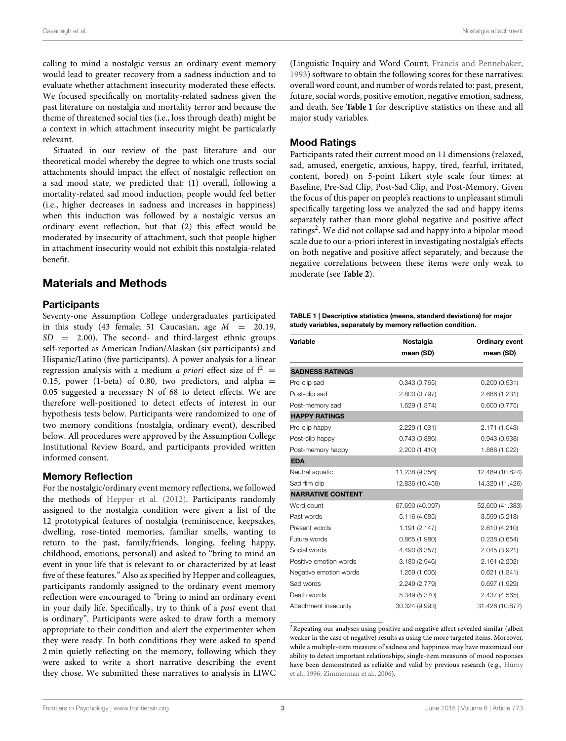calling to mind a nostalgic versus an ordinary event memory would lead to greater recovery from a sadness induction and to evaluate whether attachment insecurity moderated these effects. We focused specifically on mortality-related sadness given the past literature on nostalgia and mortality terror and because the theme of threatened social ties (i.e., loss through death) might be a context in which attachment insecurity might be particularly relevant.

Situated in our review of the past literature and our theoretical model whereby the degree to which one trusts social attachments should impact the effect of nostalgic reflection on a sad mood state, we predicted that: (1) overall, following a mortality-related sad mood induction, people would feel better (i.e., higher decreases in sadness and increases in happiness) when this induction was followed by a nostalgic versus an ordinary event reflection, but that (2) this effect would be moderated by insecurity of attachment, such that people higher in attachment insecurity would not exhibit this nostalgia-related benefit.

## Materials and Methods

#### **Participants**

Seventy-one Assumption College undergraduates participated in this study (43 female; 51 Caucasian, age  $M = 20.19$ ,  $SD = 2.00$ ). The second- and third-largest ethnic groups self-reported as American Indian/Alaskan (six participants) and Hispanic/Latino (five participants). A power analysis for a linear regression analysis with a medium *a priori* effect size of  $f^2 =$ 0.15, power (1-beta) of 0.80, two predictors, and alpha  $=$ 0.05 suggested a necessary N of 68 to detect effects. We are therefore well-positioned to detect effects of interest in our hypothesis tests below. Participants were randomized to one of two memory conditions (nostalgia, ordinary event), described below. All procedures were approved by the Assumption College Institutional Review Board, and participants provided written informed consent.

## Memory Reflection

For the nostalgic/ordinary event memory reflections, we followed the methods of [Hepper et al. \(2012\)](#page-8-0). Participants randomly assigned to the nostalgia condition were given a list of the 12 prototypical features of nostalgia (reminiscence, keepsakes, dwelling, rose-tinted memories, familiar smells, wanting to return to the past, family/friends, longing, feeling happy, childhood, emotions, personal) and asked to "bring to mind an event in your life that is relevant to or characterized by at least five of these features." Also as specified by Hepper and colleagues, participants randomly assigned to the ordinary event memory reflection were encouraged to "bring to mind an ordinary event in your daily life. Specifically, try to think of a past event that is ordinary". Participants were asked to draw forth a memory appropriate to their condition and alert the experimenter when they were ready. In both conditions they were asked to spend 2 min quietly reflecting on the memory, following which they were asked to write a short narrative describing the event they chose. We submitted these narratives to analysis in LIWC (Linguistic Inquiry and Word Count; [Francis and Pennebaker,](#page-8-12) [1993\)](#page-8-12) software to obtain the following scores for these narratives: overall word count, and number of words related to: past, present, future, social words, positive emotion, negative emotion, sadness, and death. See **[Table 1](#page-3-0)** for descriptive statistics on these and all major study variables.

## Mood Ratings

Participants rated their current mood on 11 dimensions (relaxed, sad, amused, energetic, anxious, happy, tired, fearful, irritated, content, bored) on 5-point Likert style scale four times: at Baseline, Pre-Sad Clip, Post-Sad Clip, and Post-Memory. Given the focus of this paper on people's reactions to unpleasant stimuli specifically targeting loss we analyzed the sad and happy items separately rather than more global negative and positive affect ratings<sup>[2](#page-3-1)</sup>. We did not collapse sad and happy into a bipolar mood scale due to our a-priori interest in investigating nostalgia's effects on both negative and positive affect separately, and because the negative correlations between these items were only weak to moderate (see **[Table 2](#page-4-0)**).

<span id="page-3-0"></span>TABLE 1 | Descriptive statistics (means, standard deviations) for major study variables, separately by memory reflection condition.

| Variable                 | Nostalgia<br>mean (SD) | Ordinary event<br>mean (SD) |
|--------------------------|------------------------|-----------------------------|
| <b>SADNESS RATINGS</b>   |                        |                             |
| Pre-clip sad             | 0.343(0.765)           | 0.200(0.531)                |
| Post-clip sad            | 2.800 (0.797)          | 2.686 (1.231)               |
| Post-memory sad          | 1.629 (1.374)          | 0.600(0.775)                |
| <b>HAPPY RATINGS</b>     |                        |                             |
| Pre-clip happy           | 2.229 (1.031)          | 2.171 (1.043)               |
| Post-clip happy          | 0.743(0.886)           | 0.943(0.938)                |
| Post-memory happy        | 2.200 (1.410)          | 1.886 (1.022)               |
| <b>EDA</b>               |                        |                             |
| Neutral aquatic          | 11.238 (9.356)         | 12.489 (10.824)             |
| Sad film clip            | 12.836 (10.459)        | 14.320 (11.426)             |
| <b>NARRATIVE CONTENT</b> |                        |                             |
| Word count               | 67.690 (40.097)        | 52.600 (41.383)             |
| Past words               | 5.116 (4.685)          | 3.599 (5.218)               |
| Present words            | 1.191 (2.147)          | 2.610 (4.210)               |
| Future words             | 0.865(1.980)           | 0.238(0.654)                |
| Social words             | 4.490 (6.357)          | 2.045 (3.921)               |
| Positive emotion words   | 3.180 (2.946)          | 2.161 (2.202)               |
| Negative emotion words   | 1.259 (1.606)          | 0.621(1.341)                |
| Sad words                | 2.249 (2.779)          | 0.697(1.929)                |
| Death words              | 5.349 (5.370)          | 2.437 (4.565)               |
| Attachment insecurity    | 30.324 (9.993)         | 31.426 (10.877)             |

<span id="page-3-1"></span> $^2$ Repeating our analyses using positive and negative affect revealed similar (albeit weaker in the case of negative) results as using the more targeted items. Moreover, while a multiple-item measure of sadness and happiness may have maximized our ability to detect important relationships, single-item measures of mood responses have been demonstrated as reliable and valid by previous research (e.g., Hürny et al., [1996;](#page-8-13) [Zimmerman et al., 2006\)](#page-9-6).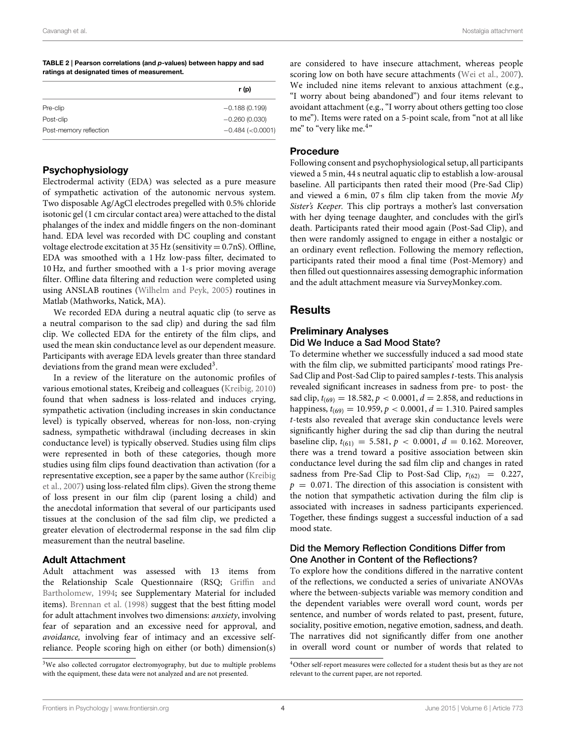<span id="page-4-0"></span>

| TABLE 2   Pearson correlations (and p-values) between happy and sad |  |
|---------------------------------------------------------------------|--|
| ratings at designated times of measurement.                         |  |

|                        | r (p)                   |
|------------------------|-------------------------|
| Pre-clip               | $-0.188(0.199)$         |
| Post-clip              | $-0.260(0.030)$         |
| Post-memory reflection | $-0.484$ ( $< 0.0001$ ) |

## Psychophysiology

Electrodermal activity (EDA) was selected as a pure measure of sympathetic activation of the autonomic nervous system. Two disposable Ag/AgCl electrodes pregelled with 0.5% chloride isotonic gel (1 cm circular contact area) were attached to the distal phalanges of the index and middle fingers on the non-dominant hand. EDA level was recorded with DC coupling and constant voltage electrode excitation at 35 Hz (sensitivity = 0.7nS). Offline, EDA was smoothed with a 1 Hz low-pass filter, decimated to 10 Hz, and further smoothed with a 1-s prior moving average filter. Offline data filtering and reduction were completed using using ANSLAB routines [\(Wilhelm and Peyk, 2005\)](#page-9-7) routines in Matlab (Mathworks, Natick, MA).

We recorded EDA during a neutral aquatic clip (to serve as a neutral comparison to the sad clip) and during the sad film clip. We collected EDA for the entirety of the film clips, and used the mean skin conductance level as our dependent measure. Participants with average EDA levels greater than three standard deviations from the grand mean were excluded<sup>[3](#page-4-1)</sup>.

In a review of the literature on the autonomic profiles of various emotional states, Kreibeig and colleagues [\(Kreibig, 2010\)](#page-8-14) found that when sadness is loss-related and induces crying, sympathetic activation (including increases in skin conductance level) is typically observed, whereas for non-loss, non-crying sadness, sympathetic withdrawal (including decreases in skin conductance level) is typically observed. Studies using film clips were represented in both of these categories, though more studies using film clips found deactivation than activation (for a representative exception, see a paper by the same author (Kreibig et al., [2007\)](#page-8-15) using loss-related film clips). Given the strong theme of loss present in our film clip (parent losing a child) and the anecdotal information that several of our participants used tissues at the conclusion of the sad film clip, we predicted a greater elevation of electrodermal response in the sad film clip measurement than the neutral baseline.

## Adult Attachment

Adult attachment was assessed with 13 items from the Relationship Scale Questionnaire (RSQ; Griffin and Bartholomew, [1994;](#page-8-16) see Supplementary Material for included items). [Brennan et al. \(1998\)](#page-8-17) suggest that the best fitting model for adult attachment involves two dimensions: anxiety, involving fear of separation and an excessive need for approval, and avoidance, involving fear of intimacy and an excessive selfreliance. People scoring high on either (or both) dimension(s) are considered to have insecure attachment, whereas people scoring low on both have secure attachments [\(Wei et al., 2007\)](#page-9-8). We included nine items relevant to anxious attachment (e.g., "I worry about being abandoned") and four items relevant to avoidant attachment (e.g., "I worry about others getting too close to me"). Items were rated on a 5-point scale, from "not at all like me" to "very like me.<sup>[4](#page-4-2)"</sup>

#### Procedure

Following consent and psychophysiological setup, all participants viewed a 5 min, 44 s neutral aquatic clip to establish a low-arousal baseline. All participants then rated their mood (Pre-Sad Clip) and viewed a 6 min, 07 s film clip taken from the movie My Sister's Keeper. This clip portrays a mother's last conversation with her dying teenage daughter, and concludes with the girl's death. Participants rated their mood again (Post-Sad Clip), and then were randomly assigned to engage in either a nostalgic or an ordinary event reflection. Following the memory reflection, participants rated their mood a final time (Post-Memory) and then filled out questionnaires assessing demographic information and the adult attachment measure via SurveyMonkey.com.

## **Results**

## Preliminary Analyses Did We Induce a Sad Mood State?

To determine whether we successfully induced a sad mood state with the film clip, we submitted participants' mood ratings Pre-Sad Clip and Post-Sad Clip to paired samples *t*-tests. This analysis revealed significant increases in sadness from pre- to post- the sad clip,  $t_{(69)} = 18.582$ ,  $p < 0.0001$ ,  $d = 2.858$ , and reductions in happiness,  $t_{(69)} = 10.959$ ,  $p < 0.0001$ ,  $d = 1.310$ . Paired samples t-tests also revealed that average skin conductance levels were significantly higher during the sad clip than during the neutral baseline clip,  $t_{(61)} = 5.581$ ,  $p < 0.0001$ ,  $d = 0.162$ . Moreover, there was a trend toward a positive association between skin conductance level during the sad film clip and changes in rated sadness from Pre-Sad Clip to Post-Sad Clip,  $r_{(62)} = 0.227$ ,  $p = 0.071$ . The direction of this association is consistent with the notion that sympathetic activation during the film clip is associated with increases in sadness participants experienced. Together, these findings suggest a successful induction of a sad mood state.

## Did the Memory Reflection Conditions Differ from One Another in Content of the Reflections?

To explore how the conditions differed in the narrative content of the reflections, we conducted a series of univariate ANOVAs where the between-subjects variable was memory condition and the dependent variables were overall word count, words per sentence, and number of words related to past, present, future, sociality, positive emotion, negative emotion, sadness, and death. The narratives did not significantly differ from one another in overall word count or number of words that related to

<span id="page-4-1"></span><sup>&</sup>lt;sup>3</sup>We also collected corrugator electromyography, but due to multiple problems with the equipment, these data were not analyzed and are not presented.

<span id="page-4-2"></span><sup>4</sup>Other self-report measures were collected for a student thesis but as they are not relevant to the current paper, are not reported.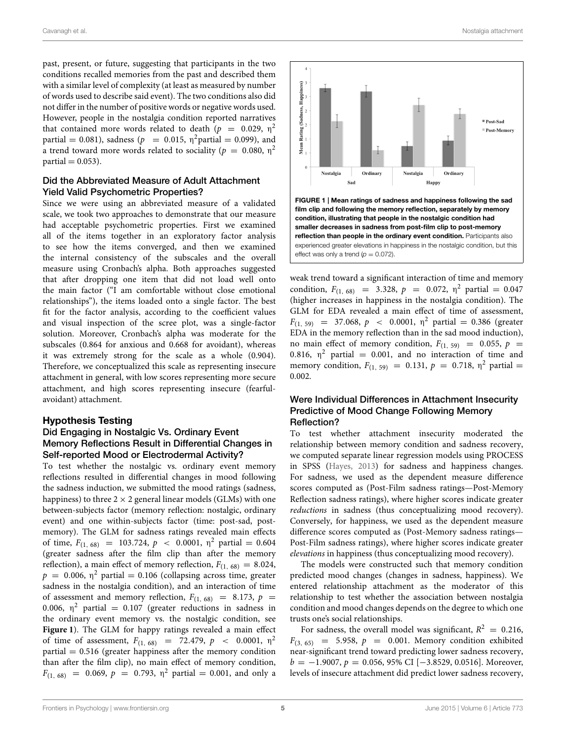past, present, or future, suggesting that participants in the two conditions recalled memories from the past and described them with a similar level of complexity (at least as measured by number of words used to describe said event). The two conditions also did not differ in the number of positive words or negative words used. However, people in the nostalgia condition reported narratives that contained more words related to death ( $p = 0.029$ ,  $\eta^2$ partial = 0.081), sadness ( $p = 0.015$ ,  $\eta^2$ partial = 0.099), and a trend toward more words related to sociality ( $p~=~0.080,~\eta^2$  $partial = 0.053$ ).

## Did the Abbreviated Measure of Adult Attachment Yield Valid Psychometric Properties?

Since we were using an abbreviated measure of a validated scale, we took two approaches to demonstrate that our measure had acceptable psychometric properties. First we examined all of the items together in an exploratory factor analysis to see how the items converged, and then we examined the internal consistency of the subscales and the overall measure using Cronbach's alpha. Both approaches suggested that after dropping one item that did not load well onto the main factor ("I am comfortable without close emotional relationships"), the items loaded onto a single factor. The best fit for the factor analysis, according to the coefficient values and visual inspection of the scree plot, was a single-factor solution. Moreover, Cronbach's alpha was moderate for the subscales (0.864 for anxious and 0.668 for avoidant), whereas it was extremely strong for the scale as a whole (0.904). Therefore, we conceptualized this scale as representing insecure attachment in general, with low scores representing more secure attachment, and high scores representing insecure (fearfulavoidant) attachment.

#### Hypothesis Testing

## Did Engaging in Nostalgic Vs. Ordinary Event Memory Reflections Result in Differential Changes in Self-reported Mood or Electrodermal Activity?

To test whether the nostalgic vs. ordinary event memory reflections resulted in differential changes in mood following the sadness induction, we submitted the mood ratings (sadness, happiness) to three  $2 \times 2$  general linear models (GLMs) with one between-subjects factor (memory reflection: nostalgic, ordinary event) and one within-subjects factor (time: post-sad, postmemory). The GLM for sadness ratings revealed main effects of time,  $F_{(1, 68)} = 103.724$ ,  $p < 0.0001$ ,  $\eta^2$  partial = 0.604 (greater sadness after the film clip than after the memory reflection), a main effect of memory reflection,  $F_{(1, 68)} = 8.024$ ,  $p = 0.006$ ,  $\eta^2$  partial = 0.106 (collapsing across time, greater sadness in the nostalgia condition), and an interaction of time of assessment and memory reflection,  $F_{(1, 68)} = 8.173$ ,  $p =$ 0.006,  $\eta^2$  partial = 0.107 (greater reductions in sadness in the ordinary event memory vs. the nostalgic condition, see **[Figure 1](#page-5-0)**). The GLM for happy ratings revealed a main effect of time of assessment,  $F_{(1, 68)} = 72.479$ ,  $p < 0.0001$ ,  $\eta^2$  $partial = 0.516$  (greater happiness after the memory condition than after the film clip), no main effect of memory condition,  $F_{(1, 68)} = 0.069, p = 0.793, \eta^2 \text{ partial } = 0.001, \text{ and only a}$ 



<span id="page-5-0"></span>condition, illustrating that people in the nostalgic condition had smaller decreases in sadness from post-film clip to post-memory reflection than people in the ordinary event condition. Participants also experienced greater elevations in happiness in the nostalgic condition, but this effect was only a trend  $(p = 0.072)$ .

weak trend toward a significant interaction of time and memory condition,  $F_{(1, 68)} = 3.328$ ,  $p = 0.072$ ,  $\eta^2$  partial = 0.047 (higher increases in happiness in the nostalgia condition). The GLM for EDA revealed a main effect of time of assessment,  $F_{(1, 59)}$  = 37.068,  $p$  < 0.0001,  $\eta^2$  partial = 0.386 (greater EDA in the memory reflection than in the sad mood induction), no main effect of memory condition,  $F_{(1, 59)} = 0.055$ ,  $p =$ 0.816,  $\eta^2$  partial = 0.001, and no interaction of time and memory condition,  $F_{(1, 59)} = 0.131$ ,  $p = 0.718$ ,  $\eta^2$  partial = 0.002.

## Were Individual Differences in Attachment Insecurity Predictive of Mood Change Following Memory Reflection?

To test whether attachment insecurity moderated the relationship between memory condition and sadness recovery, we computed separate linear regression models using PROCESS in SPSS [\(Hayes, 2013\)](#page-8-18) for sadness and happiness changes. For sadness, we used as the dependent measure difference scores computed as (Post-Film sadness ratings—Post-Memory Reflection sadness ratings), where higher scores indicate greater reductions in sadness (thus conceptualizing mood recovery). Conversely, for happiness, we used as the dependent measure difference scores computed as (Post-Memory sadness ratings— Post-Film sadness ratings), where higher scores indicate greater elevations in happiness (thus conceptualizing mood recovery).

The models were constructed such that memory condition predicted mood changes (changes in sadness, happiness). We entered relationship attachment as the moderator of this relationship to test whether the association between nostalgia condition and mood changes depends on the degree to which one trusts one's social relationships.

For sadness, the overall model was significant,  $R^2 = 0.216$ ,  $F_{(3, 65)} = 5.958, p = 0.001$ . Memory condition exhibited near-significant trend toward predicting lower sadness recovery,  $b = -1.9007$ ,  $p = 0.056$ , 95% CI [-3.8529, 0.0516]. Moreover, levels of insecure attachment did predict lower sadness recovery,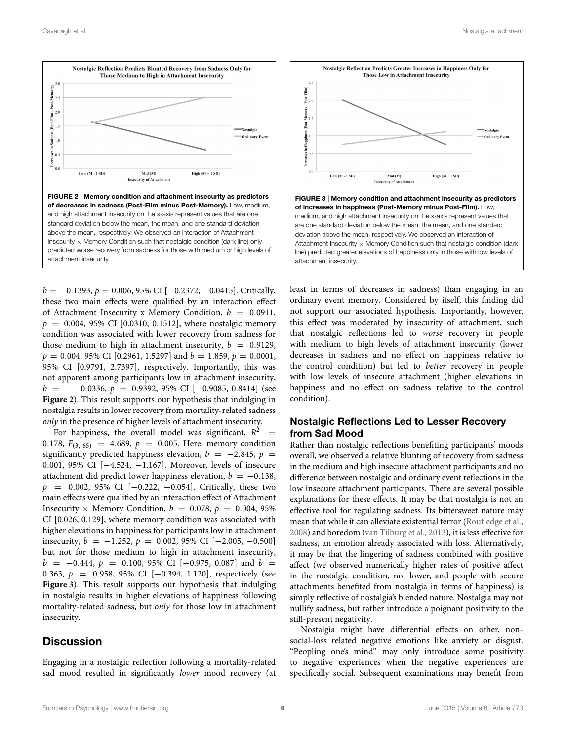

<span id="page-6-0"></span> $b = -0.1393$ ,  $p = 0.006$ , 95% CI [ $-0.2372$ ,  $-0.0415$ ]. Critically, these two main effects were qualified by an interaction effect of Attachment Insecurity x Memory Condition,  $b = 0.0911$ ,  $p = 0.004, 95\%$  CI [0.0310, 0.1512], where nostalgic memory condition was associated with lower recovery from sadness for those medium to high in attachment insecurity,  $b = 0.9129$ ,  $p = 0.004$ , 95% CI [0.2961, 1.5297] and  $b = 1.859$ ,  $p = 0.0001$ , 95% CI [0.9791, 2.7397], respectively. Importantly, this was not apparent among participants low in attachment insecurity,  $b = -0.0336, p = 0.9392, 95\% \text{ CI} [-0.9085, 0.8414]$  (see **[Figure 2](#page-6-0)**). This result supports our hypothesis that indulging in nostalgia results in lower recovery from mortality-related sadness only in the presence of higher levels of attachment insecurity.

For happiness, the overall model was significant,  $R^2$  = 0.178,  $F_{(3, 65)} = 4.689$ ,  $p = 0.005$ . Here, memory condition significantly predicted happiness elevation,  $b = -2.845$ ,  $p =$ 0.001, 95% CI [−4.524, −1.167]. Moreover, levels of insecure attachment did predict lower happiness elevation,  $b = -0.138$ ,  $p = 0.002, 95\% \text{ CI } [-0.222, -0.054].$  Critically, these two main effects were qualified by an interaction effect of Attachment Insecurity  $\times$  Memory Condition,  $b = 0.078$ ,  $p = 0.004$ , 95% CI [0.026, 0.129], where memory condition was associated with higher elevations in happiness for participants low in attachment insecurity,  $b = -1.252$ ,  $p = 0.002$ , 95% CI [-2.005, -0.500] but not for those medium to high in attachment insecurity,  $b = -0.444, p = 0.100, 95\%$  CI [-0.975, 0.087] and  $b =$ 0.363, p = 0.958, 95% CI [−0.394, 1.120], respectively (see **[Figure 3](#page-6-1)**). This result supports our hypothesis that indulging in nostalgia results in higher elevations of happiness following mortality-related sadness, but only for those low in attachment insecurity.

## **Discussion**

Engaging in a nostalgic reflection following a mortality-related sad mood resulted in significantly lower mood recovery (at

![](_page_6_Figure_7.jpeg)

<span id="page-6-1"></span>least in terms of decreases in sadness) than engaging in an ordinary event memory. Considered by itself, this finding did not support our associated hypothesis. Importantly, however, this effect was moderated by insecurity of attachment, such that nostalgic reflections led to worse recovery in people with medium to high levels of attachment insecurity (lower decreases in sadness and no effect on happiness relative to the control condition) but led to better recovery in people with low levels of insecure attachment (higher elevations in happiness and no effect on sadness relative to the control condition).

## Nostalgic Reflections Led to Lesser Recovery from Sad Mood

Rather than nostalgic reflections benefiting participants' moods overall, we observed a relative blunting of recovery from sadness in the medium and high insecure attachment participants and no difference between nostalgic and ordinary event reflections in the low insecure attachment participants. There are several possible explanations for these effects. It may be that nostalgia is not an effective tool for regulating sadness. Its bittersweet nature may mean that while it can alleviate existential terror [\(Routledge et al.,](#page-8-5) [2008\)](#page-8-5) and boredom [\(van Tilburg et al., 2013\)](#page-9-2), it is less effective for sadness, an emotion already associated with loss. Alternatively, it may be that the lingering of sadness combined with positive affect (we observed numerically higher rates of positive affect in the nostalgic condition, not lower, and people with secure attachments benefited from nostalgia in terms of happiness) is simply reflective of nostalgia's blended nature. Nostalgia may not nullify sadness, but rather introduce a poignant positivity to the still-present negativity.

Nostalgia might have differential effects on other, nonsocial-loss related negative emotions like anxiety or disgust. "Peopling one's mind" may only introduce some positivity to negative experiences when the negative experiences are specifically social. Subsequent examinations may benefit from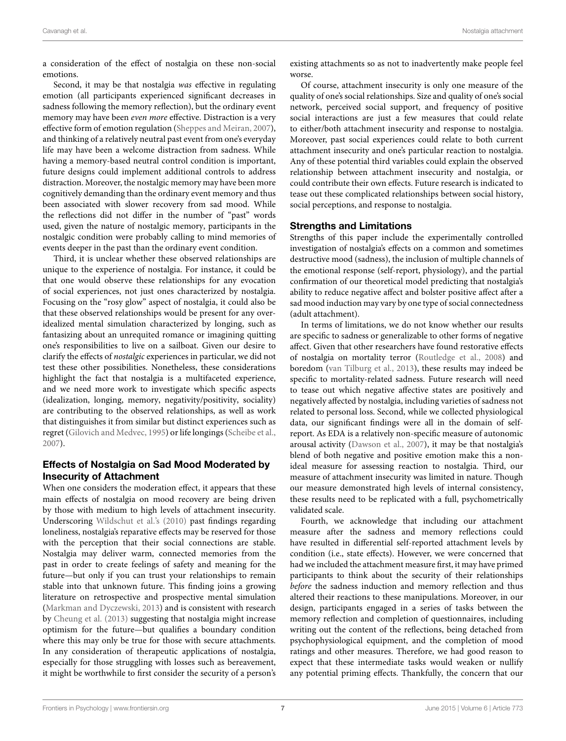a consideration of the effect of nostalgia on these non-social emotions.

Second, it may be that nostalgia was effective in regulating emotion (all participants experienced significant decreases in sadness following the memory reflection), but the ordinary event memory may have been even more effective. Distraction is a very effective form of emotion regulation [\(Sheppes and Meiran, 2007\)](#page-9-9), and thinking of a relatively neutral past event from one's everyday life may have been a welcome distraction from sadness. While having a memory-based neutral control condition is important, future designs could implement additional controls to address distraction. Moreover, the nostalgic memory may have been more cognitively demanding than the ordinary event memory and thus been associated with slower recovery from sad mood. While the reflections did not differ in the number of "past" words used, given the nature of nostalgic memory, participants in the nostalgic condition were probably calling to mind memories of events deeper in the past than the ordinary event condition.

Third, it is unclear whether these observed relationships are unique to the experience of nostalgia. For instance, it could be that one would observe these relationships for any evocation of social experiences, not just ones characterized by nostalgia. Focusing on the "rosy glow" aspect of nostalgia, it could also be that these observed relationships would be present for any overidealized mental simulation characterized by longing, such as fantasizing about an unrequited romance or imagining quitting one's responsibilities to live on a sailboat. Given our desire to clarify the effects of nostalgic experiences in particular, we did not test these other possibilities. Nonetheless, these considerations highlight the fact that nostalgia is a multifaceted experience, and we need more work to investigate which specific aspects (idealization, longing, memory, negativity/positivity, sociality) are contributing to the observed relationships, as well as work that distinguishes it from similar but distinct experiences such as regret [\(Gilovich and Medvec, 1995\)](#page-8-19) or life longings [\(Scheibe et al.,](#page-9-10) [2007\)](#page-9-10).

## Effects of Nostalgia on Sad Mood Moderated by Insecurity of Attachment

When one considers the moderation effect, it appears that these main effects of nostalgia on mood recovery are being driven by those with medium to high levels of attachment insecurity. Underscoring [Wildschut et al.'s \(2010\)](#page-9-5) past findings regarding loneliness, nostalgia's reparative effects may be reserved for those with the perception that their social connections are stable. Nostalgia may deliver warm, connected memories from the past in order to create feelings of safety and meaning for the future—but only if you can trust your relationships to remain stable into that unknown future. This finding joins a growing literature on retrospective and prospective mental simulation [\(Markman and Dyczewski, 2013\)](#page-8-20) and is consistent with research by [Cheung et al. \(2013\)](#page-8-21) suggesting that nostalgia might increase optimism for the future—but qualifies a boundary condition where this may only be true for those with secure attachments. In any consideration of therapeutic applications of nostalgia, especially for those struggling with losses such as bereavement, it might be worthwhile to first consider the security of a person's existing attachments so as not to inadvertently make people feel worse.

Of course, attachment insecurity is only one measure of the quality of one's social relationships. Size and quality of one's social network, perceived social support, and frequency of positive social interactions are just a few measures that could relate to either/both attachment insecurity and response to nostalgia. Moreover, past social experiences could relate to both current attachment insecurity and one's particular reaction to nostalgia. Any of these potential third variables could explain the observed relationship between attachment insecurity and nostalgia, or could contribute their own effects. Future research is indicated to tease out these complicated relationships between social history, social perceptions, and response to nostalgia.

## Strengths and Limitations

Strengths of this paper include the experimentally controlled investigation of nostalgia's effects on a common and sometimes destructive mood (sadness), the inclusion of multiple channels of the emotional response (self-report, physiology), and the partial confirmation of our theoretical model predicting that nostalgia's ability to reduce negative affect and bolster positive affect after a sad mood induction may vary by one type of social connectedness (adult attachment).

In terms of limitations, we do not know whether our results are specific to sadness or generalizable to other forms of negative affect. Given that other researchers have found restorative effects of nostalgia on mortality terror [\(Routledge et al., 2008\)](#page-8-5) and boredom [\(van Tilburg et al., 2013\)](#page-9-2), these results may indeed be specific to mortality-related sadness. Future research will need to tease out which negative affective states are positively and negatively affected by nostalgia, including varieties of sadness not related to personal loss. Second, while we collected physiological data, our significant findings were all in the domain of selfreport. As EDA is a relatively non-specific measure of autonomic arousal activity [\(Dawson et al., 2007\)](#page-8-22), it may be that nostalgia's blend of both negative and positive emotion make this a nonideal measure for assessing reaction to nostalgia. Third, our measure of attachment insecurity was limited in nature. Though our measure demonstrated high levels of internal consistency, these results need to be replicated with a full, psychometrically validated scale.

Fourth, we acknowledge that including our attachment measure after the sadness and memory reflections could have resulted in differential self-reported attachment levels by condition (i.e., state effects). However, we were concerned that had we included the attachment measure first, it may have primed participants to think about the security of their relationships before the sadness induction and memory reflection and thus altered their reactions to these manipulations. Moreover, in our design, participants engaged in a series of tasks between the memory reflection and completion of questionnaires, including writing out the content of the reflections, being detached from psychophysiological equipment, and the completion of mood ratings and other measures. Therefore, we had good reason to expect that these intermediate tasks would weaken or nullify any potential priming effects. Thankfully, the concern that our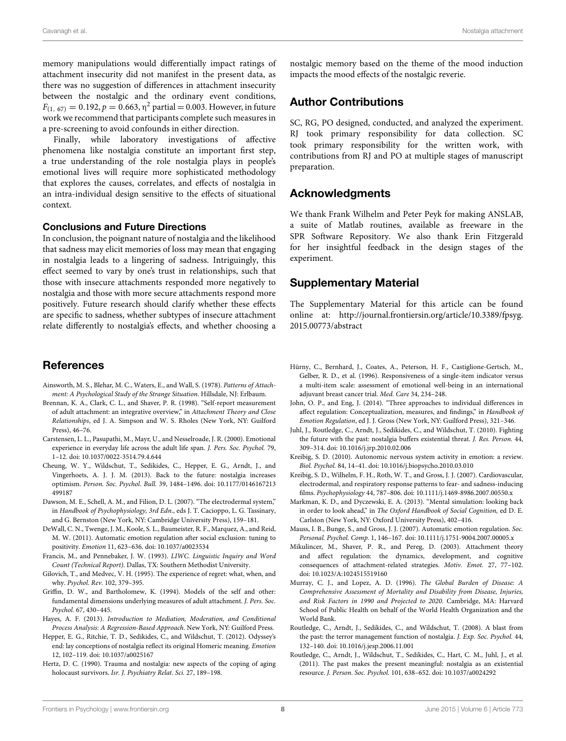memory manipulations would differentially impact ratings of attachment insecurity did not manifest in the present data, as there was no suggestion of differences in attachment insecurity between the nostalgic and the ordinary event conditions,  $F_{(1, 67)} = 0.192, p = 0.663, η<sup>2</sup>$  partial = 0.003. However, in future work we recommend that participants complete such measures in a pre-screening to avoid confounds in either direction.

Finally, while laboratory investigations of affective phenomena like nostalgia constitute an important first step, a true understanding of the role nostalgia plays in people's emotional lives will require more sophisticated methodology that explores the causes, correlates, and effects of nostalgia in an intra-individual design sensitive to the effects of situational context.

## Conclusions and Future Directions

In conclusion, the poignant nature of nostalgia and the likelihood that sadness may elicit memories of loss may mean that engaging in nostalgia leads to a lingering of sadness. Intriguingly, this effect seemed to vary by one's trust in relationships, such that those with insecure attachments responded more negatively to nostalgia and those with more secure attachments respond more positively. Future research should clarify whether these effects are specific to sadness, whether subtypes of insecure attachment relate differently to nostalgia's effects, and whether choosing a

## References

- <span id="page-8-9"></span>Ainsworth, M. S., Blehar, M. C., Waters, E., and Wall, S. (1978). Patterns of Attachment: A Psychological Study of the Strange Situation. Hillsdale, NJ: Erlbaum.
- <span id="page-8-17"></span>Brennan, K. A., Clark, C. L., and Shaver, P. R. (1998). "Self-report measurement of adult attachment: an integrative overview," in Attachment Theory and Close Relationships, ed J. A. Simpson and W. S. Rholes (New York, NY: Guilford Press), 46–76.
- <span id="page-8-10"></span>Carstensen, L. L., Pasupathi, M., Mayr, U., and Nesselroade, J. R. (2000). Emotional experience in everyday life across the adult life span. J. Pers. Soc. Psychol. 79, 1–12. doi: 10.1037/0022-3514.79.4.644
- <span id="page-8-21"></span>Cheung, W. Y., Wildschut, T., Sedikides, C., Hepper, E. G., Arndt, J., and Vingerhoets, A. J. J. M. (2013). Back to the future: nostalgia increases optimism. Person. Soc. Psychol. Bull. 39, 1484–1496. doi: 10.1177/0146167213 499187
- <span id="page-8-22"></span>Dawson, M. E., Schell, A. M., and Filion, D. L. (2007). "The electrodermal system," in Handbook of Psychophysiology, 3rd Edn., eds J. T. Cacioppo, L. G. Tassinary, and G. Bernston (New York, NY: Cambridge University Press), 159–181.
- <span id="page-8-3"></span>DeWall, C. N., Twenge, J. M., Koole, S. L., Baumeister, R. F., Marquez, A., and Reid, M. W. (2011). Automatic emotion regulation after social exclusion: tuning to positivity. Emotion 11, 623–636. doi: 10.1037/a0023534
- <span id="page-8-12"></span>Francis, M., and Pennebaker, J. W. (1993). LIWC. Linguistic Inquiry and Word Count (Technical Report). Dallas, TX: Southern Methodist University.
- <span id="page-8-19"></span>Gilovich, T., and Medvec, V. H. (1995). The experience of regret: what, when, and why. Psychol. Rev. 102, 379–395.
- <span id="page-8-16"></span>Griffin, D. W., and Bartholomew, K. (1994). Models of the self and other: fundamental dimensions underlying measures of adult attachment. J. Pers. Soc. Psychol. 67, 430–445.
- <span id="page-8-18"></span>Hayes, A. F. (2013). Introduction to Mediation, Moderation, and Conditional Process Analysis: A Regression-Based Approach. New York, NY: Guilford Press.
- <span id="page-8-0"></span>Hepper, E. G., Ritchie, T. D., Sedikides, C., and Wildschut, T. (2012). Odyssey's end: lay conceptions of nostalgia reflect its original Homeric meaning. Emotion 12, 102–119. doi: 10.1037/a0025167
- <span id="page-8-4"></span>Hertz, D. C. (1990). Trauma and nostalgia: new aspects of the coping of aging holocaust survivors. Isr. J. Psychiatry Relat. Sci. 27, 189–198.

nostalgic memory based on the theme of the mood induction impacts the mood effects of the nostalgic reverie.

## Author Contributions

SC, RG, PO designed, conducted, and analyzed the experiment. RJ took primary responsibility for data collection. SC took primary responsibility for the written work, with contributions from RJ and PO at multiple stages of manuscript preparation.

## Acknowledgments

We thank Frank Wilhelm and Peter Peyk for making ANSLAB, a suite of Matlab routines, available as freeware in the SPR Software Repository. We also thank Erin Fitzgerald for her insightful feedback in the design stages of the experiment.

## Supplementary Material

The Supplementary Material for this article can be found online at: [http://journal.frontiersin.org/article/10.3389/fpsyg.](http://journal.frontiersin.org/article/10.3389/fpsyg.2015.00773/abstract) [2015.00773/abstract](http://journal.frontiersin.org/article/10.3389/fpsyg.2015.00773/abstract)

- <span id="page-8-13"></span>Hürny, C., Bernhard, J., Coates, A., Peterson, H. F., Castiglione-Gertsch, M., Gelber, R. D., et al. (1996). Responsiveness of a single-item indicator versus a multi-item scale: assessment of emotional well-being in an international adjuvant breast cancer trial. Med. Care 34, 234–248.
- <span id="page-8-7"></span>John, O. P., and Eng, J. (2014). "Three approaches to individual differences in affect regulation: Conceptualization, measures, and findings," in Handbook of Emotion Regulation, ed J. J. Gross (New York, NY: Guilford Press), 321–346.
- <span id="page-8-6"></span>Juhl, J., Routledge, C., Arndt, J., Sedikides, C., and Wildschut, T. (2010). Fighting the future with the past: nostalgia buffers existential threat. J. Res. Person. 44, 309–314. doi: 10.1016/j.jrp.2010.02.006
- <span id="page-8-14"></span>Kreibig, S. D. (2010). Autonomic nervous system activity in emotion: a review. Biol. Psychol. 84, 14–41. doi: 10.1016/j.biopsycho.2010.03.010
- <span id="page-8-15"></span>Kreibig, S. D., Wilhelm, F. H., Roth, W. T., and Gross, J. J. (2007). Cardiovascular, electrodermal, and respiratory response patterns to fear- and sadness-inducing films. Psychophysiology 44, 787–806. doi: 10.1111/j.1469-8986.2007.00550.x
- <span id="page-8-20"></span>Markman, K. D., and Dyczewski, E. A. (2013). "Mental simulation: looking back in order to look ahead," in The Oxford Handbook of Social Cognition, ed D. E. Carlston (New York, NY: Oxford University Press), 402–416.
- <span id="page-8-2"></span>Mauss, I. B., Bunge, S., and Gross, J. J. (2007). Automatic emotion regulation. Soc. Personal. Psychol. Comp. 1, 146–167. doi: 10.1111/j.1751-9004.2007.00005.x
- <span id="page-8-8"></span>Mikulincer, M., Shaver, P. R., and Pereg, D. (2003). Attachment theory and affect regulation: the dynamics, development, and cognitive consequences of attachment-related strategies. Motiv. Emot. 27, 77–102. doi: 10.1023/A:1024515519160
- <span id="page-8-11"></span>Murray, C. J., and Lopez, A. D. (1996). The Global Burden of Disease: A Comprehensive Assessment of Mortality and Disability from Disease, Injuries, and Risk Factors in 1990 and Projected to 2020. Cambridge, MA: Harvard School of Public Health on behalf of the World Health Organization and the World Bank.
- <span id="page-8-5"></span>Routledge, C., Arndt, J., Sedikides, C., and Wildschut, T. (2008). A blast from the past: the terror management function of nostalgia. J. Exp. Soc. Psychol. 44, 132–140. doi: 10.1016/j.jesp.2006.11.001
- <span id="page-8-1"></span>Routledge, C., Arndt, J., Wildschut, T., Sedikides, C., Hart, C. M., Juhl, J., et al. (2011). The past makes the present meaningful: nostalgia as an existential resource. J. Person. Soc. Psychol. 101, 638–652. doi: 10.1037/a0024292